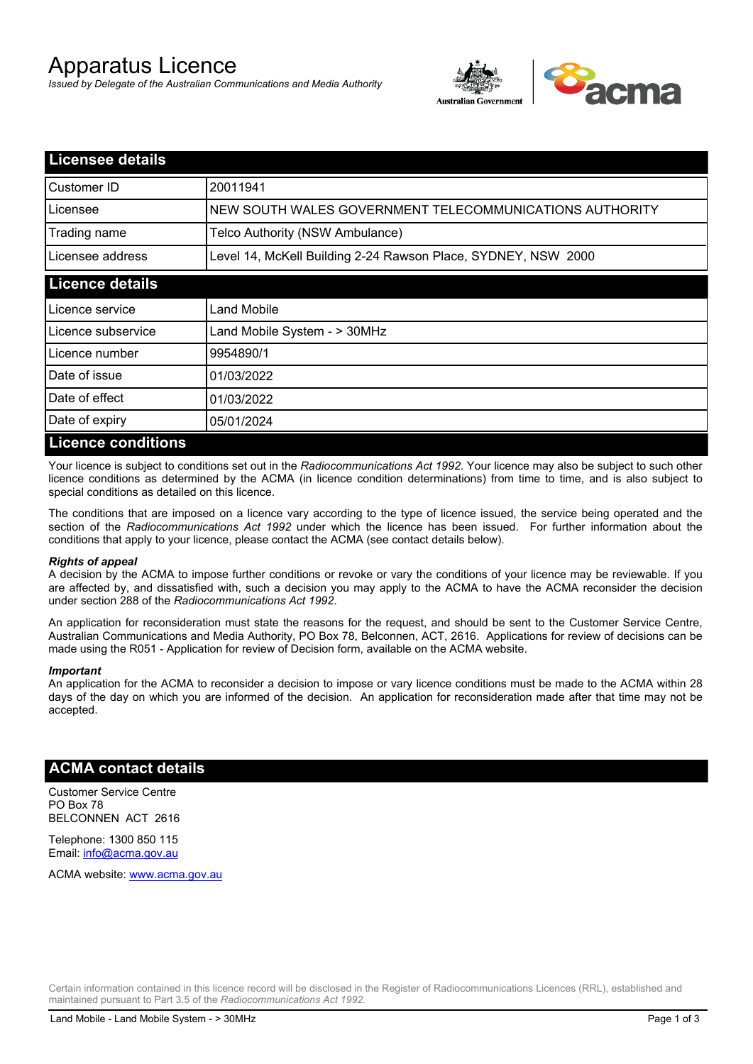# Apparatus Licence

*Issued by Delegate of the Australian Communications and Media Authority*



| <b>Licensee details</b>   |                                                               |  |  |  |
|---------------------------|---------------------------------------------------------------|--|--|--|
| Customer ID               | 20011941                                                      |  |  |  |
| Licensee                  | NEW SOUTH WALES GOVERNMENT TELECOMMUNICATIONS AUTHORITY       |  |  |  |
| Trading name              | Telco Authority (NSW Ambulance)                               |  |  |  |
| Licensee address          | Level 14, McKell Building 2-24 Rawson Place, SYDNEY, NSW 2000 |  |  |  |
| <b>Licence details</b>    |                                                               |  |  |  |
| Licence service           | Land Mobile                                                   |  |  |  |
| Licence subservice        | Land Mobile System - > 30MHz                                  |  |  |  |
| Licence number            | 9954890/1                                                     |  |  |  |
| Date of issue             | 01/03/2022                                                    |  |  |  |
| Date of effect            | 01/03/2022                                                    |  |  |  |
| Date of expiry            | 05/01/2024                                                    |  |  |  |
| <b>Licence conditions</b> |                                                               |  |  |  |

Your licence is subject to conditions set out in the *Radiocommunications Act 1992*. Your licence may also be subject to such other licence conditions as determined by the ACMA (in licence condition determinations) from time to time, and is also subject to special conditions as detailed on this licence.

The conditions that are imposed on a licence vary according to the type of licence issued, the service being operated and the section of the *Radiocommunications Act 1992* under which the licence has been issued. For further information about the conditions that apply to your licence, please contact the ACMA (see contact details below).

### *Rights of appeal*

A decision by the ACMA to impose further conditions or revoke or vary the conditions of your licence may be reviewable. If you are affected by, and dissatisfied with, such a decision you may apply to the ACMA to have the ACMA reconsider the decision under section 288 of the *Radiocommunications Act 1992*.

An application for reconsideration must state the reasons for the request, and should be sent to the Customer Service Centre, Australian Communications and Media Authority, PO Box 78, Belconnen, ACT, 2616. Applications for review of decisions can be made using the R051 - Application for review of Decision form, available on the ACMA website.

#### *Important*

An application for the ACMA to reconsider a decision to impose or vary licence conditions must be made to the ACMA within 28 days of the day on which you are informed of the decision. An application for reconsideration made after that time may not be accepted.

## **ACMA contact details**

Customer Service Centre PO Box 78 BELCONNEN ACT 2616

Telephone: 1300 850 115 Email: info@acma.gov.au

ACMA website: www.acma.gov.au

Certain information contained in this licence record will be disclosed in the Register of Radiocommunications Licences (RRL), established and maintained pursuant to Part 3.5 of the *Radiocommunications Act 1992.*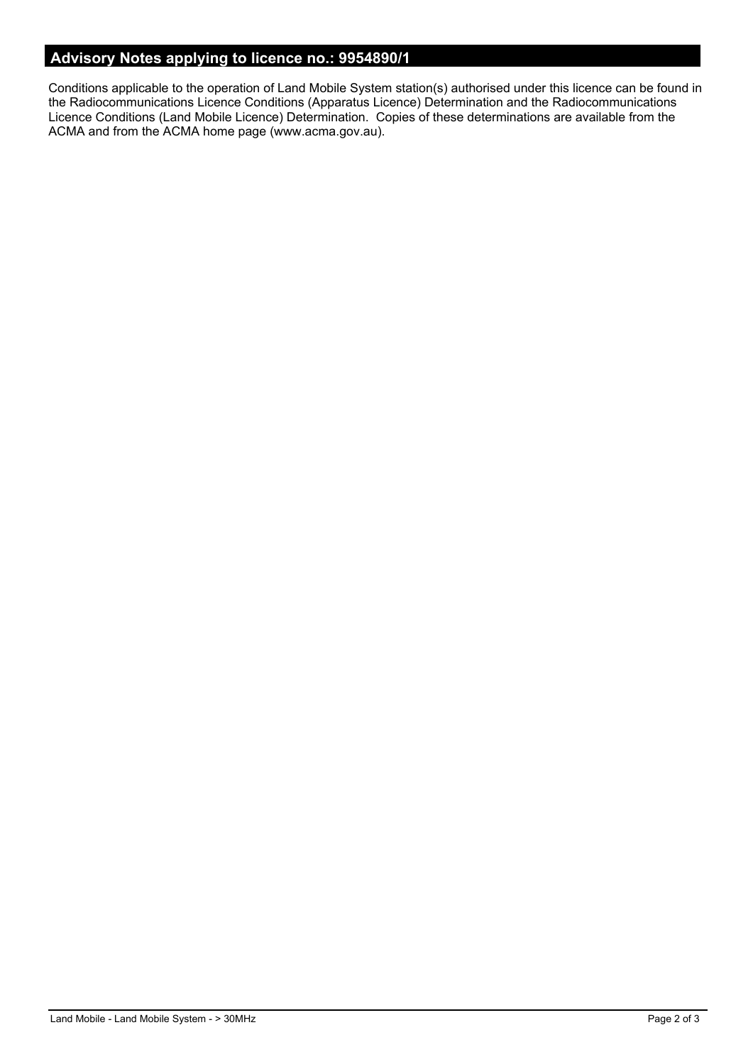# **Advisory Notes applying to licence no.: 9954890/1**

Conditions applicable to the operation of Land Mobile System station(s) authorised under this licence can be found in the Radiocommunications Licence Conditions (Apparatus Licence) Determination and the Radiocommunications Licence Conditions (Land Mobile Licence) Determination. Copies of these determinations are available from the ACMA and from the ACMA home page (www.acma.gov.au).